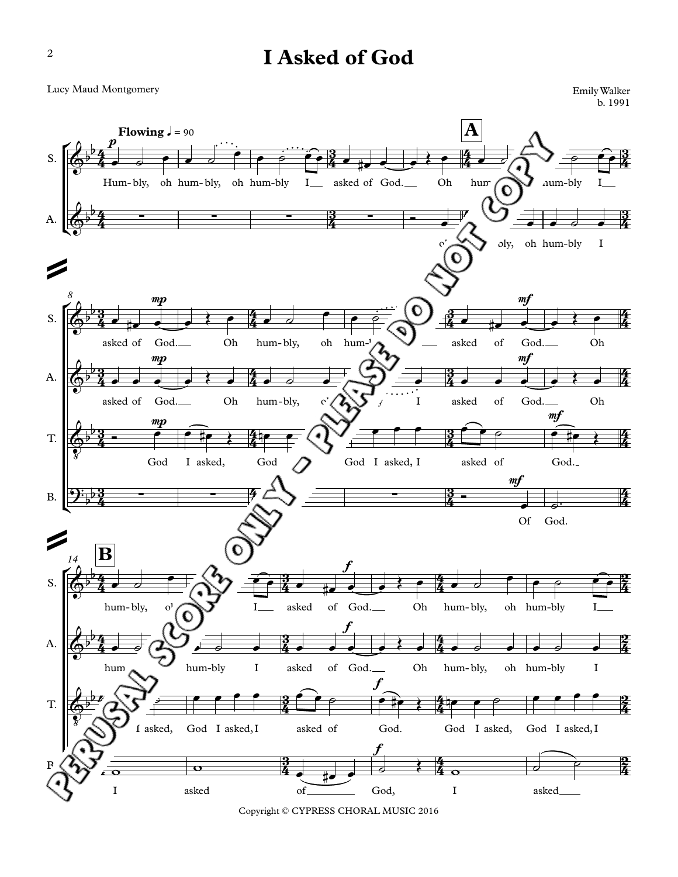## **I Asked of God**

Lucy Maud Montgomery ' Walkei b. 1991 **Flowing**  $J = 90$  **A** ° p b 4  $\mathcal{L}$   $\mathcal{L}$   $\mathcal{L}$   $\mathcal{L}$   $\mathcal{L}$   $\mathcal{L}$   $\mathcal{L}$   $\mathcal{L}$   $\mathcal{L}$   $\mathcal{L}$   $\mathcal{L}$   $\mathcal{L}$   $\mathcal{L}$   $\mathcal{L}$   $\mathcal{L}$   $\mathcal{L}$   $\mathcal{L}$   $\mathcal{L}$   $\mathcal{L}$   $\mathcal{L}$   $\mathcal{L}$   $\mathcal{L}$   $\mathcal{L}$   $\mathcal{L}$   $\mathcal{$ <u>3្</u> 4 <u>3្</u>  $\overline{\mathbb{Q}^{\flat}}$  $\frac{4}{4}$ 3<br>4  $\frac{4}{4}$ 3<br>4 Hum bly, oh hum- bly, oh hum-bly <sup>I</sup> asked of God. Oh hum- bly, oh hum-bly <sup>I</sup>  $\Omega$  $\frac{1}{4}$   $\frac{1}{2}$   $\frac{1}{2}$   $\frac{1}{2}$   $\frac{1}{2}$   $\frac{1}{2}$   $\frac{1}{2}$   $\frac{1}{2}$   $\frac{1}{2}$   $\frac{1}{2}$   $\frac{1}{2}$   $\frac{1}{2}$   $\frac{1}{2}$   $\frac{1}{2}$   $\frac{1}{2}$   $\frac{1}{2}$   $\frac{1}{2}$   $\frac{1}{2}$   $\frac{1}{2}$   $\frac{1}{2}$   $\frac{1}{2}$   $\frac{1}{2}$  4 <u>3</u>  $\overline{z}$ <u>3្</u>  $\overline{\mathbb{Q}^{\flat}}$ Ó œ œ ˙ œ œ ˙ œ  $\frac{4}{4}$ <u>วี</u><br>4  $\overline{c}$ <u>ุ่ง</u><br>4 A. ¢ oh $45$  bly, oh hum-bly <sup>I</sup> = *8* mp  $\boldsymbol{m}$ ° b <u>3</u>  $e_{\#e}$   $e_{\#e}$   $\frac{4}{4}$   $e_{\#e}$   $\frac{e_{\#e}}{e_{\#e}}$   $\frac{2}{4}$   $\frac{3}{4}$   $\frac{3}{4}$   $\frac{3}{4}$   $\frac{3}{4}$   $\frac{3}{4}$   $\frac{3}{4}$   $\frac{3}{4}$   $\frac{3}{4}$   $\frac{3}{4}$   $\frac{3}{4}$   $\frac{3}{4}$   $\frac{3}{4}$   $\frac{3}{4}$   $\frac{3}{4}$   $\frac{3}{4}$   $\frac{3$ 4 <u>3</u> 4  $\overline{\mathbb{Q}^{\flat}}$ <u>วี</u><br>4  $\frac{4}{4}$ <u>ุ่ง</u><br>4  $\frac{4}{4}$ askedOh $\begin{array}{c|c}\n\hline\n\end{array}$  bly, oh hum-bly asked of God. Ohasked of God. Oh hum-bly, Oh mf mp b <u>3</u> 4 <u>3្</u> 4  $\overline{\mathbb{Q}^{\flat}}$ œ œ œ œ Œ œ œ ˙ œ œ ˙ œ œ œ œ œ Œ œ A.  $\frac{3}{4}$  $\frac{4}{4}$ <u>ุ้</u><br>4  $\frac{4}{4}$ askedh hum-bly,  $\sum_{i=1}^{N}$   $\frac{1}{i}$  asked of God. OhOhasked of God. mf  $\begin{array}{c} \text{mp} \\ \text{p} \end{array}$   $\begin{array}{c} \text{mp} \\ \text{mp} \end{array}$   $\begin{array}{c} \text{mp} \\ \text{mp} \end{array}$ mp b <u>3្</u> 4 <u>3្</u> 4  $\frac{1}{2}$  $\Phi$ 3<br>4  $\frac{4}{4}$ 3<br>4  $\frac{4}{4}$  $\overline{\xi}$ GodI asked, God  $\bigcirc$  God I asked, I asked of God. mf  $\mathbf{\mathcal{Y}}^{\mathbf{:}}_{\flat}$ <u>3្</u> 4 <u>3្</u> 4 b ∑ ∑ ∑ ∑  $\overline{\phantom{a}}$ **B.** 3<br>4 4 3<br>4 4 ¢ Of God. =  $\bf{B}$ f °  $\frac{1}{2}$ 4 <sup>œ</sup> ˙ <sup>œ</sup> <sup>œ</sup> ˙ <sup>œ</sup> <sup>œ</sup> <sup>œ</sup> #œ <sup>œ</sup> <sup>œ</sup> <sup>Œ</sup> <sup>œ</sup> <sup>œ</sup> ˙ <sup>œ</sup> <sup>œ</sup> ˙ <sup>œ</sup> <sup>œ</sup> <u>3</u> 4 <u>2</u>  $\overline{\mathbb{Q}^{\flat}}$  $\frac{4}{4}$ 3<br>4  $\frac{4}{4}$  $\frac{2}{4}$ hum- $\begin{array}{ccc} \hline \text{blv.} & \bullet & \bullet & \bullet & \bullet \\ \text{blv.} & \bullet & \bullet & \bullet & \bullet & \bullet \\ \end{array}$ Oh humoh hum-bly I\_ f b 4 <u>3្</u> 4 <u>2</u>  $\overline{\mathbb{G}}$ œ ˙ œ œ ˙ œ œ œ œ œ Œ œ œ ˙ œ œ ˙ œ  $\frac{4}{4}$ 3<br>4  $\frac{4}{4}$  $\frac{2}{4}$ A. hum- $\overline{\bigcup_{\text{hum-blv}}$  I asked of God. Oh hum bly, oh hum-bly <sup>I</sup> f  $\widehat{X}$ b 4 <u>3</u> 4 <u>2</u>  $\frac{1}{2}$  $\Phi$  $\mathcal{L}_{\left( \right. }$ <u>ุ่ง</u><br>4  $\frac{4}{4}$  $\frac{2}{4}$ T.  $\rightarrow$  $\overline{\phantom{a}}$  $\overline{\epsilon}$ I asked, God I asked, I asked of God. God I asked, God I asked, I f  $\sum_{i=1}^n$  $\overline{\phantom{a}}$ <u>3</u> 4 <u>2</u> b  $\sim$   $\sim$   $\frac{3}{4}$   $\sim$   $\frac{3}{6}$   $\frac{1}{6}$   $\frac{1}{4}$   $\sim$   $\frac{4}{4}$   $\sim$ ۔<br>م <u>ุ้</u><br>4  $\frac{4}{4}$  $\frac{2}{4}$ ¢ I asked of God, III asked\_ Copyright © CYPRESS CHORAL MUSIC <sup>2016</sup>

2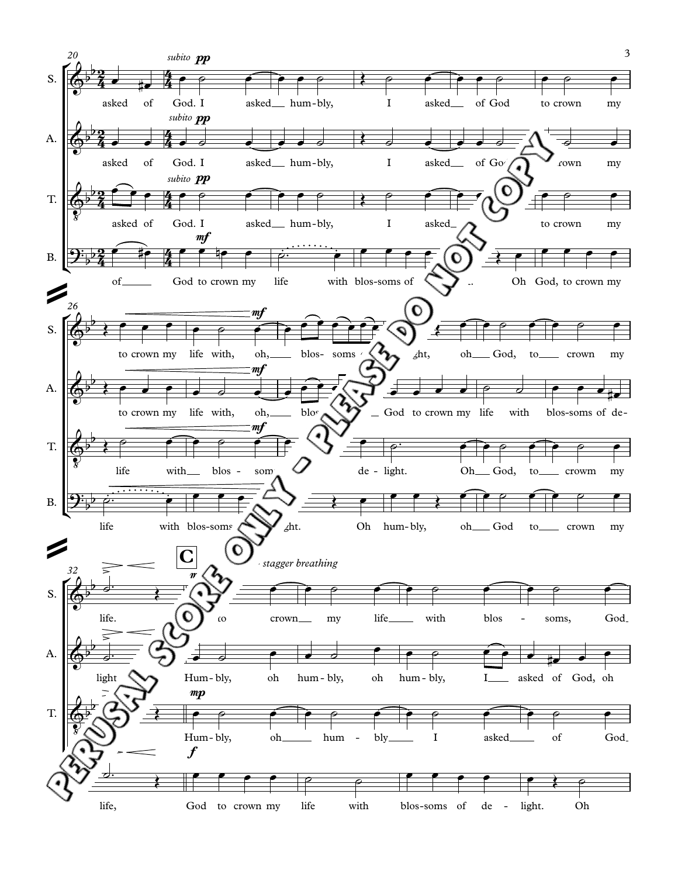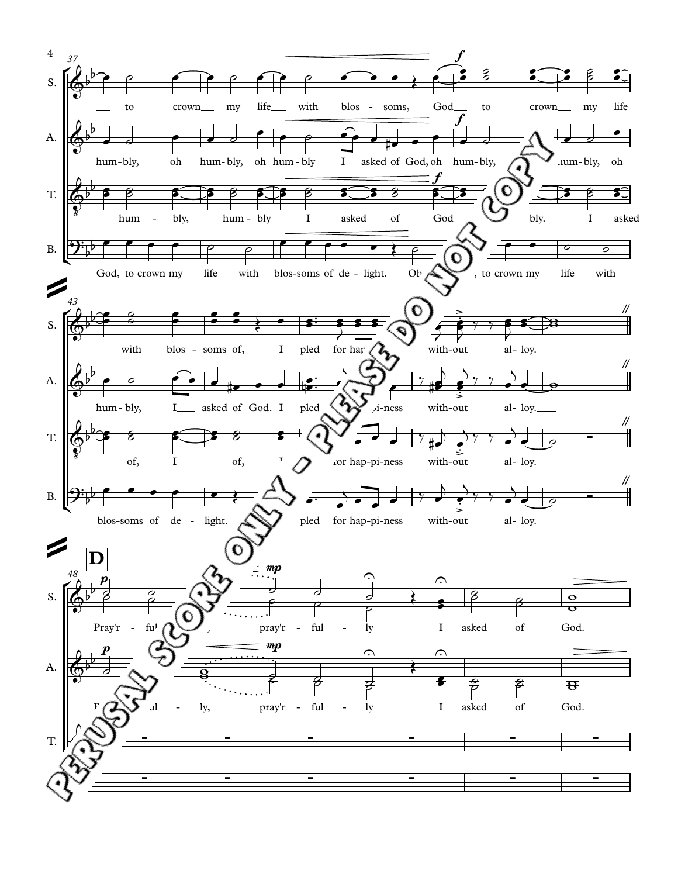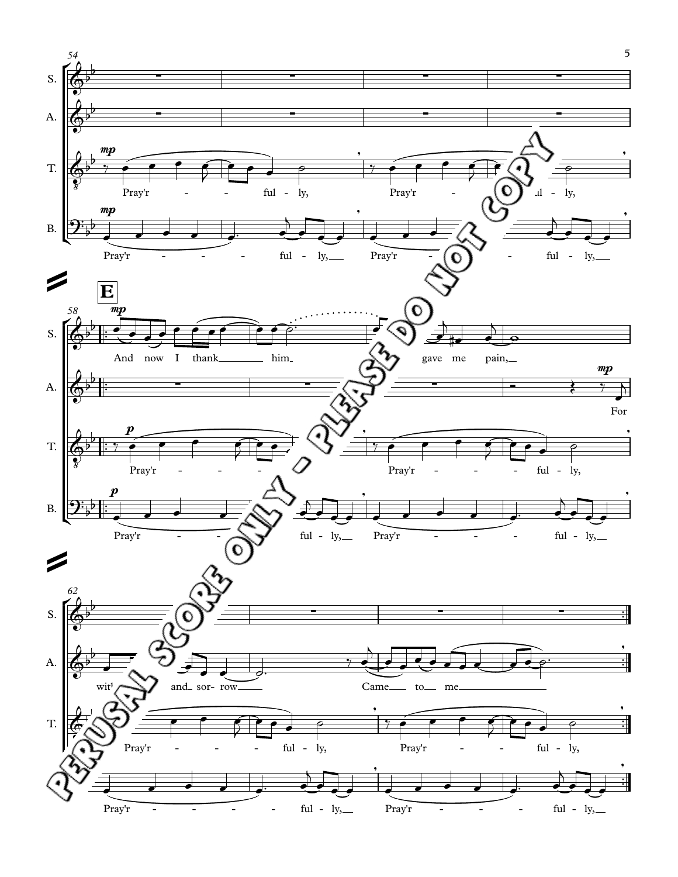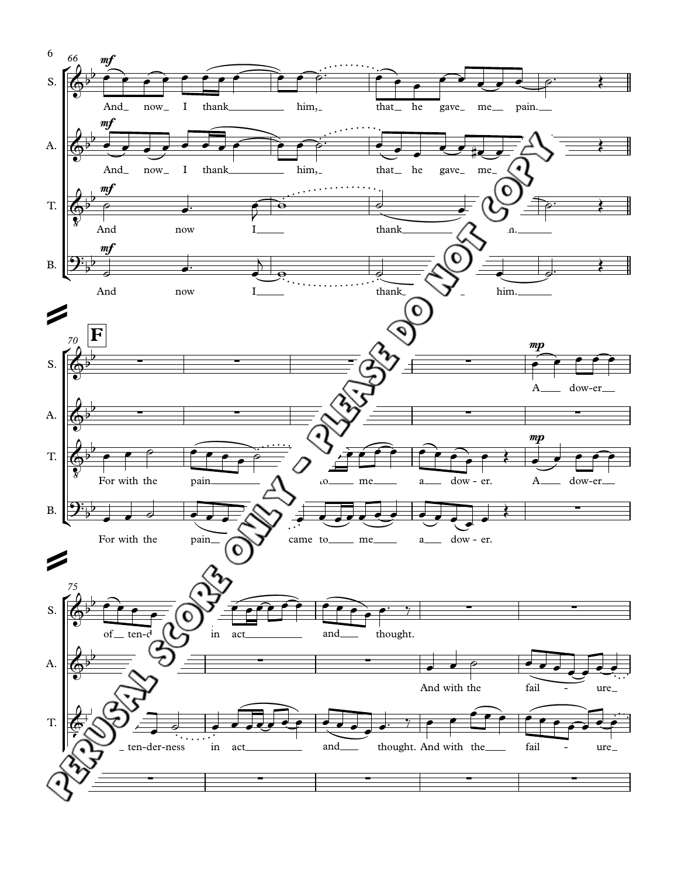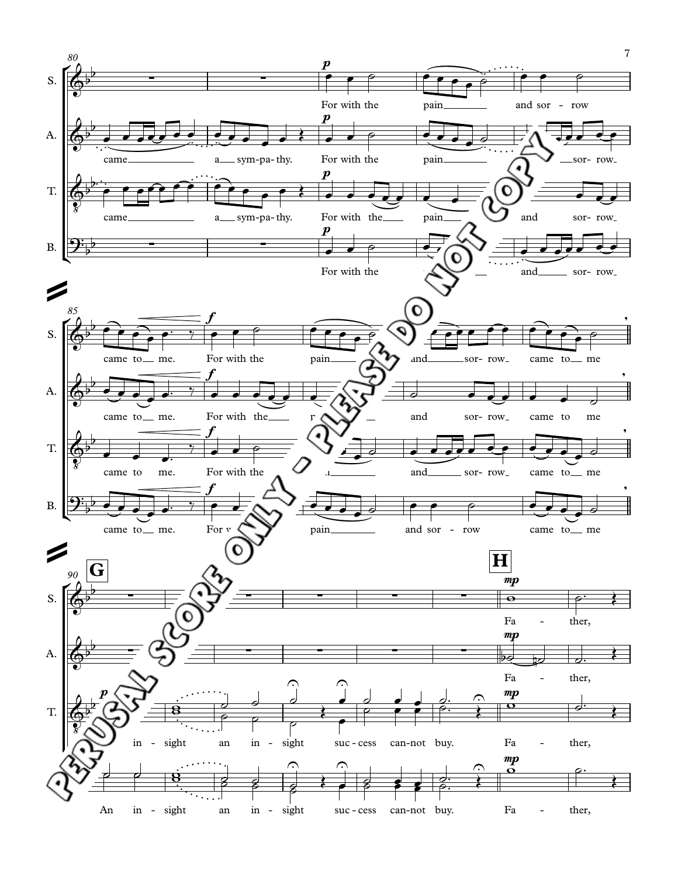